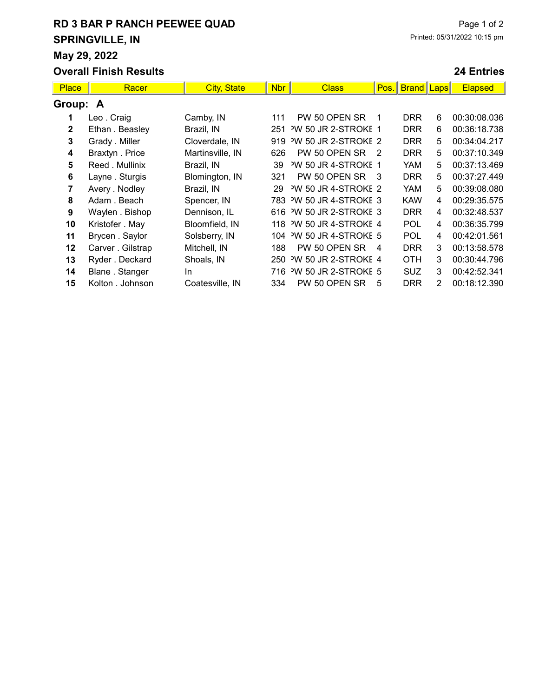## RD 3 BAR P RANCH PEEWEE QUAD SPRINGVILLE, IN May 29, 2022

#### Overall Finish Results

#### 24 Entries

| <b>Place</b> | Racer             | <b>City, State</b> | <b>Nbr</b> | <b>Class</b>                    | Pos.           | <b>Brand Laps</b> |   | <b>Elapsed</b> |  |  |
|--------------|-------------------|--------------------|------------|---------------------------------|----------------|-------------------|---|----------------|--|--|
| Group: A     |                   |                    |            |                                 |                |                   |   |                |  |  |
| 1            | Leo . Craig       | Camby, IN          | 111        | PW 50 OPEN SR                   |                | <b>DRR</b>        | 6 | 00:30:08.036   |  |  |
| $\mathbf{2}$ | Ethan . Beasley   | Brazil, IN         | 251        | <sup>2</sup> W 50 JR 2-STROKE 1 |                | <b>DRR</b>        | 6 | 00:36:18.738   |  |  |
| 3            | Grady . Miller    | Cloverdale, IN     | 919        | <sup>2</sup> W 50 JR 2-STROKE 2 |                | <b>DRR</b>        | 5 | 00:34:04.217   |  |  |
| 4            | Braxtyn . Price   | Martinsville, IN   | 626        | PW 50 OPEN SR                   | $\mathcal{P}$  | <b>DRR</b>        | 5 | 00:37:10.349   |  |  |
| 5            | Reed . Mullinix   | Brazil, IN         | 39         | <sup>2</sup> W 50 JR 4-STROKE 1 |                | YAM               | 5 | 00:37:13.469   |  |  |
| 6            | Layne . Sturgis   | Blomington, IN     | 321        | PW 50 OPEN SR                   | - 3            | <b>DRR</b>        | 5 | 00:37:27.449   |  |  |
| 7            | Avery . Nodley    | Brazil, IN         | 29         | <sup>2</sup> W 50 JR 4-STROKE 2 |                | <b>YAM</b>        | 5 | 00:39:08.080   |  |  |
| 8            | Adam, Beach       | Spencer, IN        | 783        | <sup>2</sup> W 50 JR 4-STROKE 3 |                | <b>KAW</b>        | 4 | 00:29:35.575   |  |  |
| 9            | Waylen . Bishop   | Dennison, IL       |            | 616 W 50 JR 2-STROKE 3          |                | <b>DRR</b>        | 4 | 00:32:48.537   |  |  |
| 10           | Kristofer . May   | Bloomfield, IN     |            | 118 'W 50 JR 4-STROKE 4         |                | <b>POL</b>        | 4 | 00:36:35.799   |  |  |
| 11           | Brycen. Saylor    | Solsberry, IN      | 104        | <sup>3</sup> W 50 JR 4-STROKE 5 |                | <b>POL</b>        | 4 | 00:42:01.561   |  |  |
| $12 \,$      | Carver . Gilstrap | Mitchell, IN       | 188        | PW 50 OPEN SR                   | $\overline{4}$ | <b>DRR</b>        | 3 | 00:13:58.578   |  |  |
| 13           | Ryder . Deckard   | Shoals, IN         | 250        | <sup>2</sup> W 50 JR 2-STROKE 4 |                | <b>OTH</b>        | 3 | 00:30:44.796   |  |  |
| 14           | Blane. Stanger    | In.                | 716        | <sup>2</sup> W 50 JR 2-STROKE 5 |                | <b>SUZ</b>        | 3 | 00:42:52.341   |  |  |
| 15           | Kolton, Johnson   | Coatesville, IN    | 334        | PW 50 OPEN SR                   | 5              | <b>DRR</b>        | 2 | 00:18:12.390   |  |  |